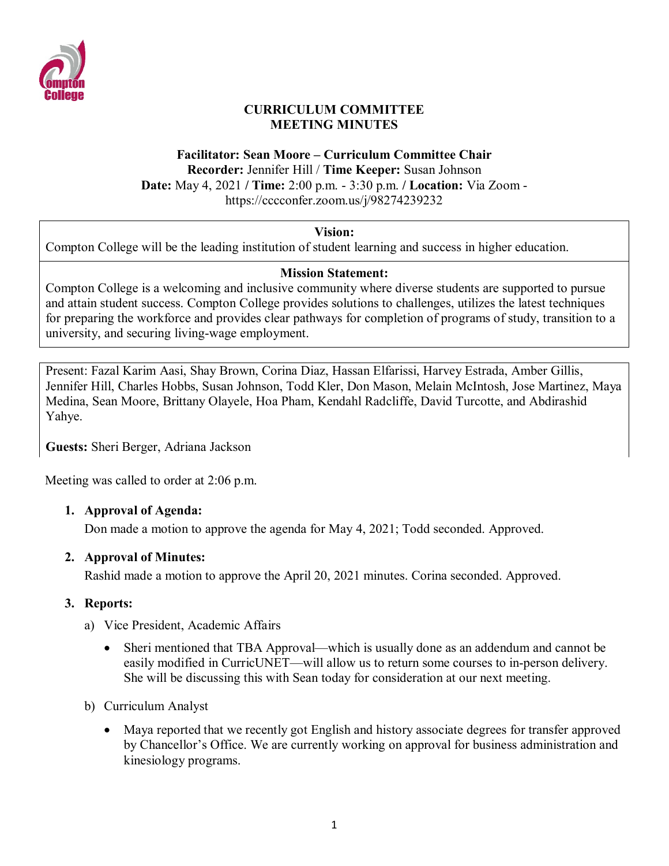

## **CURRICULUM COMMITTEE MEETING MINUTES**

## **Facilitator: Sean Moore – Curriculum Committee Chair Recorder:** Jennifer Hill / **Time Keeper:** Susan Johnson **Date:** May 4, 2021 **/ Time:** 2:00 p.m. - 3:30 p.m. **/ Location:** Via Zoom https://cccconfer.zoom.us/j/98274239232

# **Vision:**

Compton College will be the leading institution of student learning and success in higher education.

### **Mission Statement:**

Compton College is a welcoming and inclusive community where diverse students are supported to pursue and attain student success. Compton College provides solutions to challenges, utilizes the latest techniques for preparing the workforce and provides clear pathways for completion of programs of study, transition to a university, and securing living-wage employment.

Present: Fazal Karim Aasi, Shay Brown, Corina Diaz, Hassan Elfarissi, Harvey Estrada, Amber Gillis, Jennifer Hill, Charles Hobbs, Susan Johnson, Todd Kler, Don Mason, Melain McIntosh, Jose Martinez, Maya Medina, Sean Moore, Brittany Olayele, Hoa Pham, Kendahl Radcliffe, David Turcotte, and Abdirashid Yahye.

**Guests:** Sheri Berger, Adriana Jackson

Meeting was called to order at 2:06 p.m.

#### **1. Approval of Agenda:**

Don made a motion to approve the agenda for May 4, 2021; Todd seconded. Approved.

#### **2. Approval of Minutes:**

Rashid made a motion to approve the April 20, 2021 minutes. Corina seconded. Approved.

# **3. Reports:**

- a) Vice President, Academic Affairs
	- Sheri mentioned that TBA Approval—which is usually done as an addendum and cannot be easily modified in CurricUNET—will allow us to return some courses to in-person delivery. She will be discussing this with Sean today for consideration at our next meeting.
- b) Curriculum Analyst
	- Maya reported that we recently got English and history associate degrees for transfer approved by Chancellor's Office. We are currently working on approval for business administration and kinesiology programs.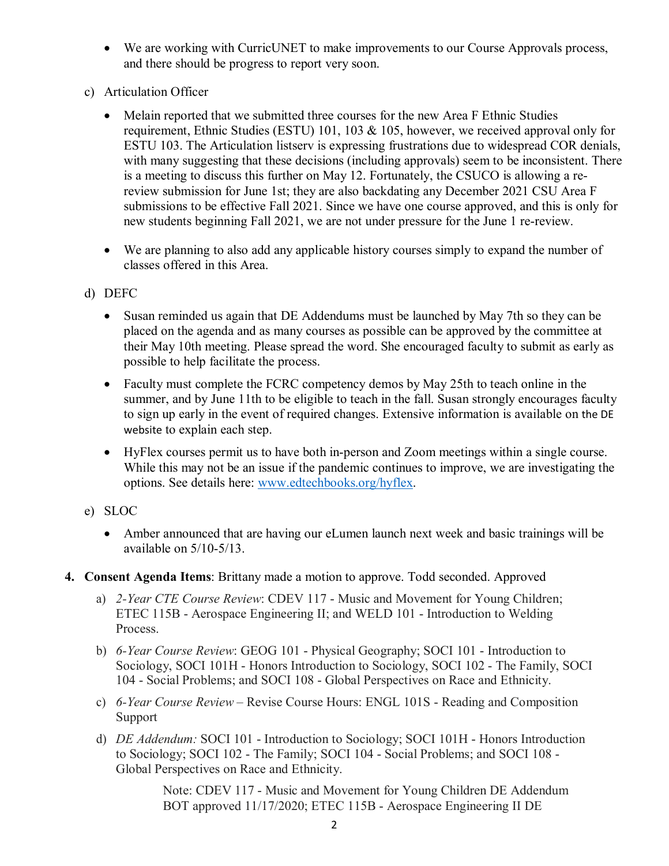- We are working with CurricUNET to make improvements to our Course Approvals process, and there should be progress to report very soon.
- c) Articulation Officer
	- Melain reported that we submitted three courses for the new Area F Ethnic Studies requirement, Ethnic Studies (ESTU) 101, 103 & 105, however, we received approval only for ESTU 103. The Articulation listserv is expressing frustrations due to widespread COR denials, with many suggesting that these decisions (including approvals) seem to be inconsistent. There is a meeting to discuss this further on May 12. Fortunately, the CSUCO is allowing a rereview submission for June 1st; they are also backdating any December 2021 CSU Area F submissions to be effective Fall 2021. Since we have one course approved, and this is only for new students beginning Fall 2021, we are not under pressure for the June 1 re-review.
	- We are planning to also add any applicable history courses simply to expand the number of classes offered in this Area.
- d) DEFC
	- Susan reminded us again that DE Addendums must be launched by May 7th so they can be placed on the agenda and as many courses as possible can be approved by the committee at their May 10th meeting. Please spread the word. She encouraged faculty to submit as early as possible to help facilitate the process.
	- Faculty must complete the FCRC competency demos by May 25th to teach online in the summer, and by June 11th to be eligible to teach in the fall. Susan strongly encourages faculty to sign up early in the event of required changes. Extensive information is available on the DE website to explain each step.
	- HyFlex courses permit us to have both in-person and Zoom meetings within a single course. While this may not be an issue if the pandemic continues to improve, we are investigating the options. See details here: www.edtechbooks.org/hyflex.
- e) SLOC
	- Amber announced that are having our eLumen launch next week and basic trainings will be available on 5/10-5/13.
- **4. Consent Agenda Items**: Brittany made a motion to approve. Todd seconded. Approved
	- a) *2-Year CTE Course Review*: CDEV 117 Music and Movement for Young Children; ETEC 115B - Aerospace Engineering II; and WELD 101 - Introduction to Welding Process.
	- b) *6-Year Course Review*: GEOG 101 Physical Geography; SOCI 101 Introduction to Sociology, SOCI 101H - Honors Introduction to Sociology, SOCI 102 - The Family, SOCI 104 - Social Problems; and SOCI 108 - Global Perspectives on Race and Ethnicity.
	- c) *6-Year Course Review* Revise Course Hours: ENGL 101S Reading and Composition Support
	- d) *DE Addendum:* SOCI 101 Introduction to Sociology; SOCI 101H Honors Introduction to Sociology; SOCI 102 - The Family; SOCI 104 - Social Problems; and SOCI 108 - Global Perspectives on Race and Ethnicity.

Note: CDEV 117 - Music and Movement for Young Children DE Addendum BOT approved 11/17/2020; ETEC 115B - Aerospace Engineering II DE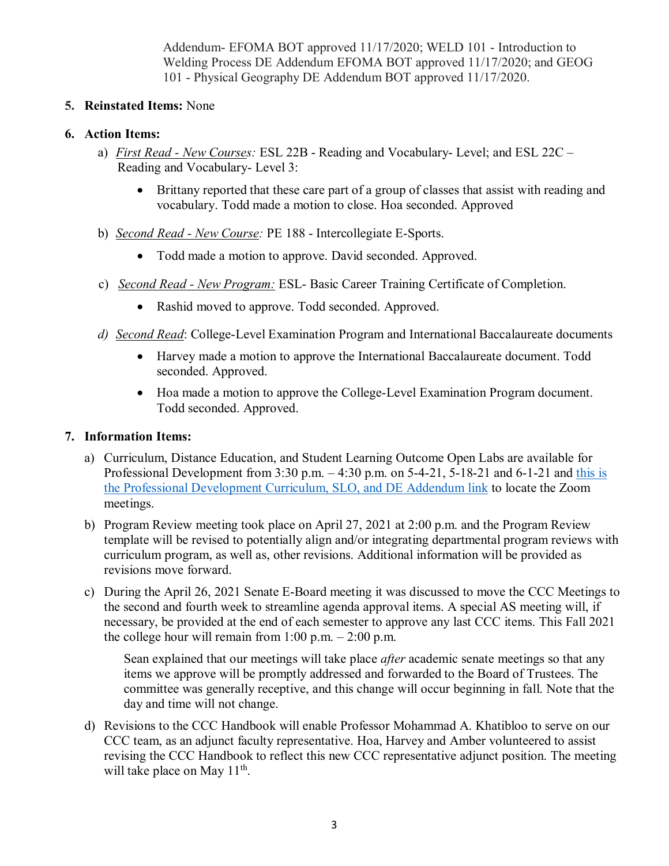Addendum- EFOMA BOT approved 11/17/2020; WELD 101 - Introduction to Welding Process DE Addendum EFOMA BOT approved 11/17/2020; and GEOG 101 - Physical Geography DE Addendum BOT approved 11/17/2020.

## **5. Reinstated Items:** None

### **6. Action Items:**

- a) *First Read - New Courses:* ESL 22B Reading and Vocabulary- Level; and ESL 22C Reading and Vocabulary- Level 3:
	- Brittany reported that these care part of a group of classes that assist with reading and vocabulary. Todd made a motion to close. Hoa seconded. Approved
- b) *Second Read - New Course:* PE 188 Intercollegiate E-Sports.
	- Todd made a motion to approve. David seconded. Approved.
- c) *Second Read - New Program:* ESL- Basic Career Training Certificate of Completion.
	- Rashid moved to approve. Todd seconded. Approved.
- *d) Second Read*: College-Level Examination Program and International Baccalaureate documents
	- Harvey made a motion to approve the International Baccalaureate document. Todd seconded. Approved.
	- Hoa made a motion to approve the College-Level Examination Program document. Todd seconded. Approved.

# **7. Information Items:**

- a) Curriculum, Distance Education, and Student Learning Outcome Open Labs are available for Professional Development from  $3:30$  p.m.  $-4:30$  p.m. on  $5-4-21$ ,  $5-18-21$  and  $6-1-21$  and this is the Professional Development Curriculum, SLO, and DE Addendum link to locate the Zoom meetings.
- b) Program Review meeting took place on April 27, 2021 at 2:00 p.m. and the Program Review template will be revised to potentially align and/or integrating departmental program reviews with curriculum program, as well as, other revisions. Additional information will be provided as revisions move forward.
- c) During the April 26, 2021 Senate E-Board meeting it was discussed to move the CCC Meetings to the second and fourth week to streamline agenda approval items. A special AS meeting will, if necessary, be provided at the end of each semester to approve any last CCC items. This Fall 2021 the college hour will remain from  $1:00$  p.m.  $-2:00$  p.m.

Sean explained that our meetings will take place *after* academic senate meetings so that any items we approve will be promptly addressed and forwarded to the Board of Trustees. The committee was generally receptive, and this change will occur beginning in fall. Note that the day and time will not change.

d) Revisions to the CCC Handbook will enable Professor Mohammad A. Khatibloo to serve on our CCC team, as an adjunct faculty representative. Hoa, Harvey and Amber volunteered to assist revising the CCC Handbook to reflect this new CCC representative adjunct position. The meeting will take place on May  $11^{\text{th}}$ .